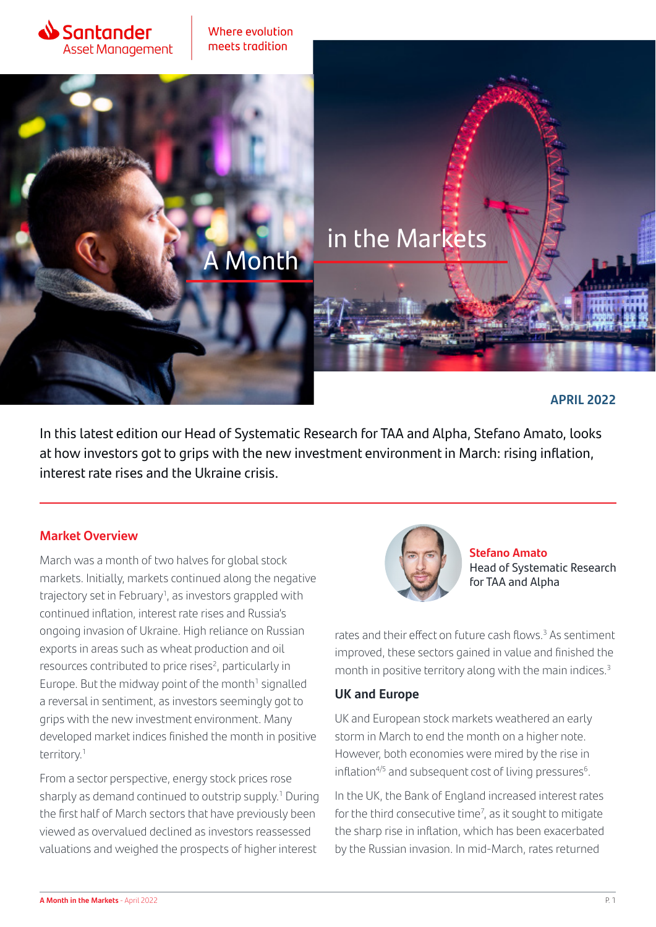

Where evolution meets tradition

**Month** 

# in the Markets

### **APRIL 2022**

In this latest edition our Head of Systematic Research for TAA and Alpha, Stefano Amato, looks at how investors got to grips with the new investment environment in March: rising inflation, interest rate rises and the Ukraine crisis.

#### **Market Overview**

March was a month of two halves for global stock markets. Initially, markets continued along the negative trajectory set in February<sup>1</sup>, as investors grappled with continued inflation, interest rate rises and Russia's ongoing invasion of Ukraine. High reliance on Russian exports in areas such as wheat production and oil resources contributed to price rises<sup>2</sup>, particularly in Europe. But the midway point of the month $1$  signalled a reversal in sentiment, as investors seemingly got to grips with the new investment environment. Many developed market indices finished the month in positive territory.1

From a sector perspective, energy stock prices rose sharply as demand continued to outstrip supply.<sup>1</sup> During the first half of March sectors that have previously been viewed as overvalued declined as investors reassessed valuations and weighed the prospects of higher interest



**Stefano Amato** Head of Systematic Research for TAA and Alpha

rates and their effect on future cash flows.<sup>3</sup> As sentiment improved, these sectors gained in value and finished the month in positive territory along with the main indices.<sup>3</sup>

#### **UK and Europe**

UK and European stock markets weathered an early storm in March to end the month on a higher note. However, both economies were mired by the rise in inflation $4/5$  and subsequent cost of living pressures $6$ .

In the UK, the Bank of England increased interest rates for the third consecutive time<sup>7</sup>, as it sought to mitigate the sharp rise in inflation, which has been exacerbated by the Russian invasion. In mid-March, rates returned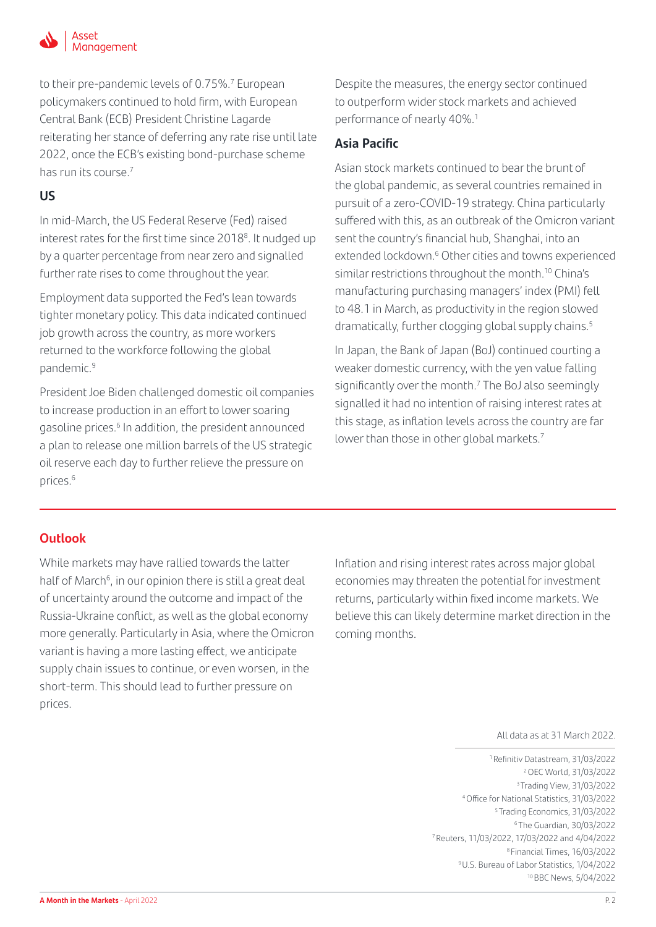

to their pre-pandemic levels of 0.75%.<sup>7</sup> European policymakers continued to hold firm, with European Central Bank (ECB) President Christine Lagarde reiterating her stance of deferring any rate rise until late 2022, once the ECB's existing bond-purchase scheme has run its course.7

### **US**

In mid-March, the US Federal Reserve (Fed) raised interest rates for the first time since 2018<sup>8</sup>. It nudged up by a quarter percentage from near zero and signalled further rate rises to come throughout the year.

Employment data supported the Fed's lean towards tighter monetary policy. This data indicated continued job growth across the country, as more workers returned to the workforce following the global pandemic.9

President Joe Biden challenged domestic oil companies to increase production in an effort to lower soaring gasoline prices.<sup>6</sup> In addition, the president announced a plan to release one million barrels of the US strategic oil reserve each day to further relieve the pressure on prices.6

Despite the measures, the energy sector continued to outperform wider stock markets and achieved performance of nearly 40%.<sup>1</sup>

## **Asia Pacific**

Asian stock markets continued to bear the brunt of the global pandemic, as several countries remained in pursuit of a zero-COVID-19 strategy. China particularly suffered with this, as an outbreak of the Omicron variant sent the country's financial hub, Shanghai, into an extended lockdown.<sup>6</sup> Other cities and towns experienced similar restrictions throughout the month.<sup>10</sup> China's manufacturing purchasing managers' index (PMI) fell to 48.1 in March, as productivity in the region slowed dramatically, further clogging global supply chains.<sup>5</sup>

In Japan, the Bank of Japan (BoJ) continued courting a weaker domestic currency, with the yen value falling significantly over the month.<sup>7</sup> The BoJ also seemingly signalled it had no intention of raising interest rates at this stage, as inflation levels across the country are far lower than those in other global markets.<sup>7</sup>

## **Outlook**

While markets may have rallied towards the latter half of March<sup>6</sup>, in our opinion there is still a great deal of uncertainty around the outcome and impact of the Russia-Ukraine conflict, as well as the global economy more generally. Particularly in Asia, where the Omicron variant is having a more lasting effect, we anticipate supply chain issues to continue, or even worsen, in the short-term. This should lead to further pressure on prices.

Inflation and rising interest rates across major global economies may threaten the potential for investment returns, particularly within fixed income markets. We believe this can likely determine market direction in the coming months.

All data as at 31 March 2022.

 1 Refinitiv Datastream, 31/03/2022 2 OEC World, 31/03/2022 3 Trading View, 31/03/2022 4 Office for National Statistics, 31/03/2022 5 Trading Economics, 31/03/2022 6 The Guardian, 30/03/2022 7 Reuters, 11/03/2022, 17/03/2022 and 4/04/2022 8 Financial Times, 16/03/2022 9 U.S. Bureau of Labor Statistics, 1/04/2022 10 BBC News, 5/04/2022